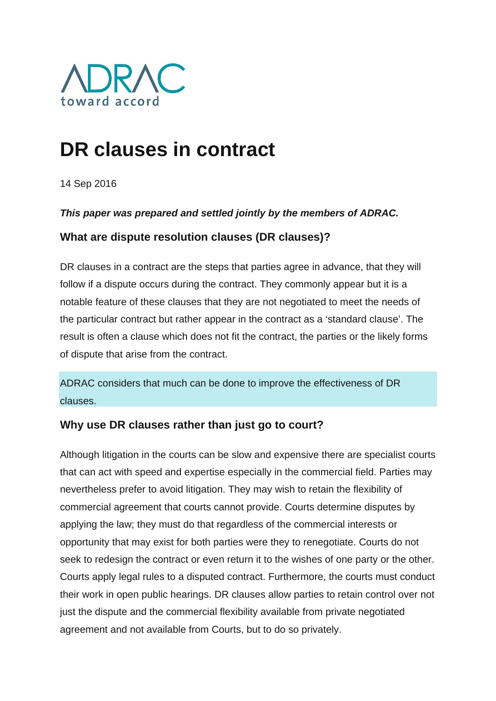

# **DR clauses in contract**

14 Sep 2016

### *This paper was prepared and settled jointly by the members of ADRAC.*

## **What are dispute resolution clauses (DR clauses)?**

DR clauses in a contract are the steps that parties agree in advance, that they will follow if a dispute occurs during the contract. They commonly appear but it is a notable feature of these clauses that they are not negotiated to meet the needs of the particular contract but rather appear in the contract as a 'standard clause'. The result is often a clause which does not fit the contract, the parties or the likely forms of dispute that arise from the contract.

ADRAC considers that much can be done to improve the effectiveness of DR clauses.

## **Why use DR clauses rather than just go to court?**

Although litigation in the courts can be slow and expensive there are specialist courts that can act with speed and expertise especially in the commercial field. Parties may nevertheless prefer to avoid litigation. They may wish to retain the flexibility of commercial agreement that courts cannot provide. Courts determine disputes by applying the law; they must do that regardless of the commercial interests or opportunity that may exist for both parties were they to renegotiate. Courts do not seek to redesign the contract or even return it to the wishes of one party or the other. Courts apply legal rules to a disputed contract. Furthermore, the courts must conduct their work in open public hearings. DR clauses allow parties to retain control over not just the dispute and the commercial flexibility available from private negotiated agreement and not available from Courts, but to do so privately.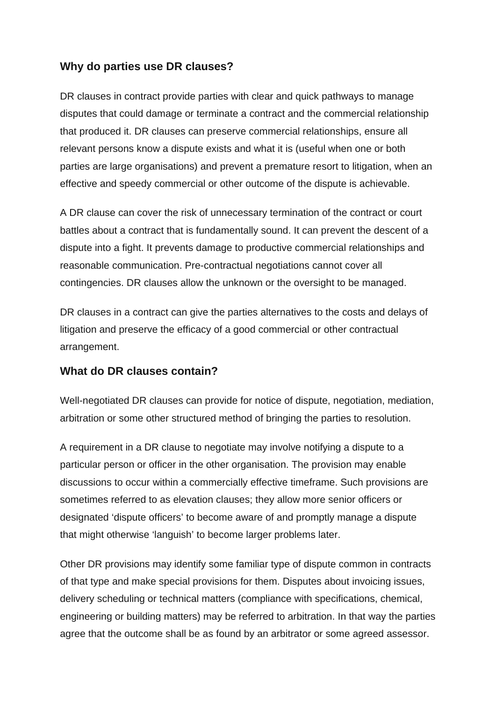## **Why do parties use DR clauses?**

DR clauses in contract provide parties with clear and quick pathways to manage disputes that could damage or terminate a contract and the commercial relationship that produced it. DR clauses can preserve commercial relationships, ensure all relevant persons know a dispute exists and what it is (useful when one or both parties are large organisations) and prevent a premature resort to litigation, when an effective and speedy commercial or other outcome of the dispute is achievable.

A DR clause can cover the risk of unnecessary termination of the contract or court battles about a contract that is fundamentally sound. It can prevent the descent of a dispute into a fight. It prevents damage to productive commercial relationships and reasonable communication. Pre-contractual negotiations cannot cover all contingencies. DR clauses allow the unknown or the oversight to be managed.

DR clauses in a contract can give the parties alternatives to the costs and delays of litigation and preserve the efficacy of a good commercial or other contractual arrangement.

### **What do DR clauses contain?**

Well-negotiated DR clauses can provide for notice of dispute, negotiation, mediation, arbitration or some other structured method of bringing the parties to resolution.

A requirement in a DR clause to negotiate may involve notifying a dispute to a particular person or officer in the other organisation. The provision may enable discussions to occur within a commercially effective timeframe. Such provisions are sometimes referred to as elevation clauses; they allow more senior officers or designated 'dispute officers' to become aware of and promptly manage a dispute that might otherwise 'languish' to become larger problems later.

Other DR provisions may identify some familiar type of dispute common in contracts of that type and make special provisions for them. Disputes about invoicing issues, delivery scheduling or technical matters (compliance with specifications, chemical, engineering or building matters) may be referred to arbitration. In that way the parties agree that the outcome shall be as found by an arbitrator or some agreed assessor.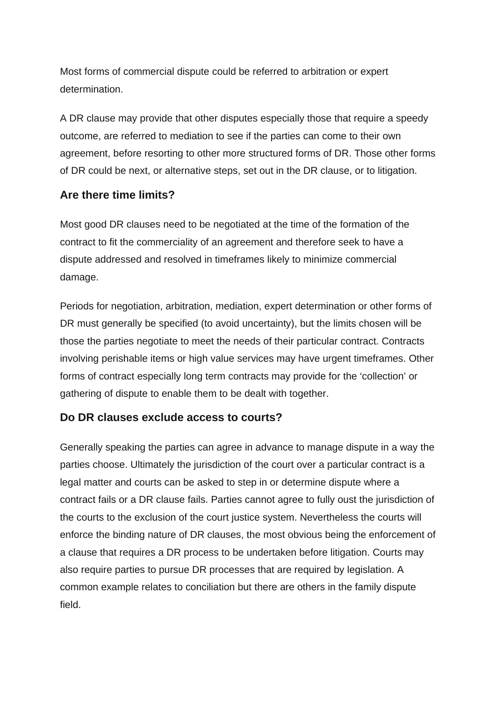Most forms of commercial dispute could be referred to arbitration or expert determination.

A DR clause may provide that other disputes especially those that require a speedy outcome, are referred to mediation to see if the parties can come to their own agreement, before resorting to other more structured forms of DR. Those other forms of DR could be next, or alternative steps, set out in the DR clause, or to litigation.

### **Are there time limits?**

Most good DR clauses need to be negotiated at the time of the formation of the contract to fit the commerciality of an agreement and therefore seek to have a dispute addressed and resolved in timeframes likely to minimize commercial damage.

Periods for negotiation, arbitration, mediation, expert determination or other forms of DR must generally be specified (to avoid uncertainty), but the limits chosen will be those the parties negotiate to meet the needs of their particular contract. Contracts involving perishable items or high value services may have urgent timeframes. Other forms of contract especially long term contracts may provide for the 'collection' or gathering of dispute to enable them to be dealt with together.

## **Do DR clauses exclude access to courts?**

Generally speaking the parties can agree in advance to manage dispute in a way the parties choose. Ultimately the jurisdiction of the court over a particular contract is a legal matter and courts can be asked to step in or determine dispute where a contract fails or a DR clause fails. Parties cannot agree to fully oust the jurisdiction of the courts to the exclusion of the court justice system. Nevertheless the courts will enforce the binding nature of DR clauses, the most obvious being the enforcement of a clause that requires a DR process to be undertaken before litigation. Courts may also require parties to pursue DR processes that are required by legislation. A common example relates to conciliation but there are others in the family dispute field.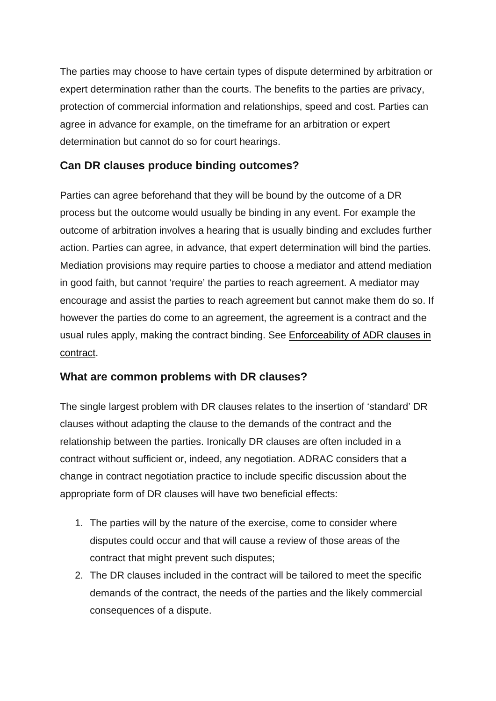The parties may choose to have certain types of dispute determined by arbitration or expert determination rather than the courts. The benefits to the parties are privacy, protection of commercial information and relationships, speed and cost. Parties can agree in advance for example, on the timeframe for an arbitration or expert determination but cannot do so for court hearings.

## **Can DR clauses produce binding outcomes?**

Parties can agree beforehand that they will be bound by the outcome of a DR process but the outcome would usually be binding in any event. For example the outcome of arbitration involves a hearing that is usually binding and excludes further action. Parties can agree, in advance, that expert determination will bind the parties. Mediation provisions may require parties to choose a mediator and attend mediation in good faith, but cannot 'require' the parties to reach agreement. A mediator may encourage and assist the parties to reach agreement but cannot make them do so. If however the parties do come to an agreement, the agreement is a contract and the usual rules apply, making the contract binding. See **Enforceability of ADR clauses in** contract.

## **What are common problems with DR clauses?**

The single largest problem with DR clauses relates to the insertion of 'standard' DR clauses without adapting the clause to the demands of the contract and the relationship between the parties. Ironically DR clauses are often included in a contract without sufficient or, indeed, any negotiation. ADRAC considers that a change in contract negotiation practice to include specific discussion about the appropriate form of DR clauses will have two beneficial effects:

- 1. The parties will by the nature of the exercise, come to consider where disputes could occur and that will cause a review of those areas of the contract that might prevent such disputes;
- 2. The DR clauses included in the contract will be tailored to meet the specific demands of the contract, the needs of the parties and the likely commercial consequences of a dispute.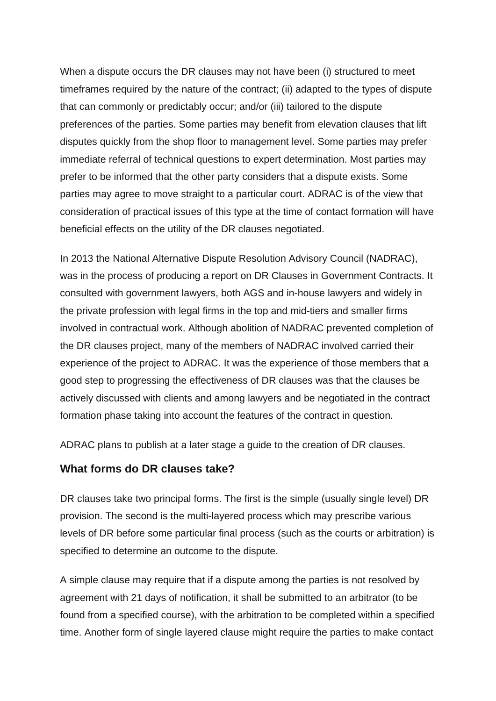When a dispute occurs the DR clauses may not have been (i) structured to meet timeframes required by the nature of the contract; (ii) adapted to the types of dispute that can commonly or predictably occur; and/or (iii) tailored to the dispute preferences of the parties. Some parties may benefit from elevation clauses that lift disputes quickly from the shop floor to management level. Some parties may prefer immediate referral of technical questions to expert determination. Most parties may prefer to be informed that the other party considers that a dispute exists. Some parties may agree to move straight to a particular court. ADRAC is of the view that consideration of practical issues of this type at the time of contact formation will have beneficial effects on the utility of the DR clauses negotiated.

In 2013 the National Alternative Dispute Resolution Advisory Council (NADRAC), was in the process of producing a report on DR Clauses in Government Contracts. It consulted with government lawyers, both AGS and in-house lawyers and widely in the private profession with legal firms in the top and mid-tiers and smaller firms involved in contractual work. Although abolition of NADRAC prevented completion of the DR clauses project, many of the members of NADRAC involved carried their experience of the project to ADRAC. It was the experience of those members that a good step to progressing the effectiveness of DR clauses was that the clauses be actively discussed with clients and among lawyers and be negotiated in the contract formation phase taking into account the features of the contract in question.

ADRAC plans to publish at a later stage a guide to the creation of DR clauses.

#### **What forms do DR clauses take?**

DR clauses take two principal forms. The first is the simple (usually single level) DR provision. The second is the multi-layered process which may prescribe various levels of DR before some particular final process (such as the courts or arbitration) is specified to determine an outcome to the dispute.

A simple clause may require that if a dispute among the parties is not resolved by agreement with 21 days of notification, it shall be submitted to an arbitrator (to be found from a specified course), with the arbitration to be completed within a specified time. Another form of single layered clause might require the parties to make contact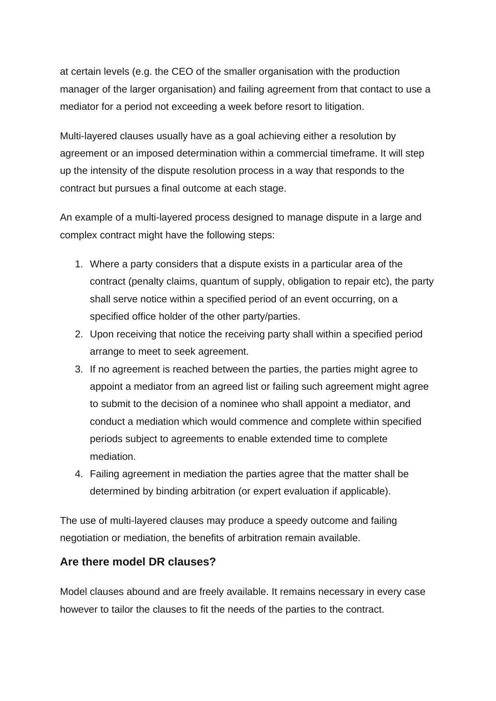at certain levels (e.g. the CEO of the smaller organisation with the production manager of the larger organisation) and failing agreement from that contact to use a mediator for a period not exceeding a week before resort to litigation.

Multi-layered clauses usually have as a goal achieving either a resolution by agreement or an imposed determination within a commercial timeframe. It will step up the intensity of the dispute resolution process in a way that responds to the contract but pursues a final outcome at each stage.

An example of a multi-layered process designed to manage dispute in a large and complex contract might have the following steps:

- 1. Where a party considers that a dispute exists in a particular area of the contract (penalty claims, quantum of supply, obligation to repair etc), the party shall serve notice within a specified period of an event occurring, on a specified office holder of the other party/parties.
- 2. Upon receiving that notice the receiving party shall within a specified period arrange to meet to seek agreement.
- 3. If no agreement is reached between the parties, the parties might agree to appoint a mediator from an agreed list or failing such agreement might agree to submit to the decision of a nominee who shall appoint a mediator, and conduct a mediation which would commence and complete within specified periods subject to agreements to enable extended time to complete mediation.
- 4. Failing agreement in mediation the parties agree that the matter shall be determined by binding arbitration (or expert evaluation if applicable).

The use of multi-layered clauses may produce a speedy outcome and failing negotiation or mediation, the benefits of arbitration remain available.

### **Are there model DR clauses?**

Model clauses abound and are freely available. It remains necessary in every case however to tailor the clauses to fit the needs of the parties to the contract.